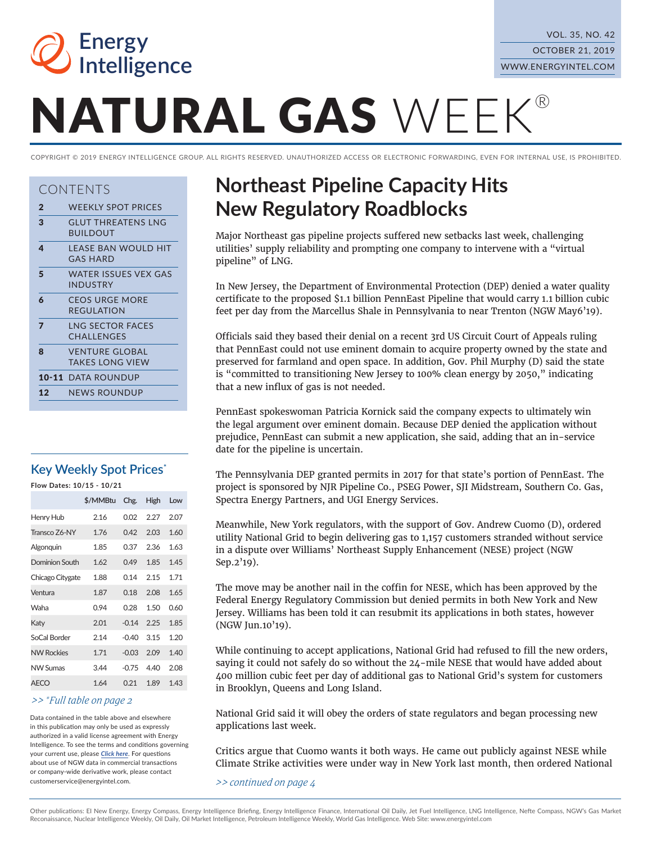

# NATURAL GAS WEEK®

COPYRIGHT © 2019 ENERGY INTELLIGENCE GROUP. ALL RIGHTS RESERVED. UNAUTHORIZED ACCESS OR ELECTRONIC FORWARDING, EVEN FOR INTERNAL USE, IS PROHIBITED.

#### CONTENTS

| $\mathbf{2}$ | <b>WEEKLY SPOT PRICES</b> |  |
|--------------|---------------------------|--|
|--------------|---------------------------|--|

- 3 GLUT THREATENS LNG
- BUILDOUT 4 LEASE BAN WOULD HIT
- GAS HARD 5 WATER ISSUES VEX GAS
- INDUSTRY 6 CEOS URGE MORE
- REGULATION
- 7 LNG SECTOR FACES CHALLENGES
- 8 VENTURE GLOBAL TAKES LONG VIEW
- 10-11 DATA ROUNDUP
- 12 NEWS ROUNDUP

#### **Key Weekly Spot Prices\***

**Flow Dates: 10/15 - 10/21**

|                   | \$/MMBtu | Chg.    | High | Low  |
|-------------------|----------|---------|------|------|
| Henry Hub         | 2.16     | 0.02    | 2.27 | 2.07 |
| Transco 76-NY     | 1.76     | 0.42    | 2.03 | 1.60 |
| Algonquin         | 1.85     | 0.37    | 2.36 | 1.63 |
| Dominion South    | 1.62     | 0.49    | 1.85 | 1.45 |
| Chicago Citygate  | 1.88     | 0.14    | 2.15 | 1.71 |
| Ventura           | 1.87     | 0.18    | 2.08 | 1.65 |
| Waha              | 0.94     | 0.28    | 1.50 | 0.60 |
| Katy              | 2.01     | $-0.14$ | 2.25 | 1.85 |
| SoCal Border      | 2.14     | $-0.40$ | 3.15 | 1.20 |
| <b>NW Rockies</b> | 1.71     | $-0.03$ | 2.09 | 1.40 |
| <b>NW Sumas</b>   | 3.44     | $-0.75$ | 4.40 | 2.08 |
| <b>AFCO</b>       | 1.64     | 0.21    | 1.89 | 143  |

#### *>> \*Full table on page 2*

Data contained in the table above and elsewhere in this publication may only be used as expressly authorized in a valid license agreement with Energy Intelligence. To see the terms and conditons governing your current use, please *[Click here](http://www.energyintel.com/pages/termsandconditions.aspx)*. For questons about use of NGW data in commercial transactions or company-wide derivative work, please contact customerservice@energyintel.com.

## **Northeast Pipeline Capacity Hits New Regulatory Roadblocks**

Major Northeast gas pipeline projects sufered new setbacks last week, challenging utilities' supply reliability and prompting one company to intervene with a "virtual pipeline" of LNG.

In New Jersey, the Department of Environmental Protection (DEP) denied a water quality certifcate to the proposed \$1.1 billion PennEast Pipeline that would carry 1.1 billion cubic feet per day from the Marcellus Shale in Pennsylvania to near Trenton (NGW May6'19).

Officials said they based their denial on a recent 3rd US Circuit Court of Appeals ruling that PennEast could not use eminent domain to acquire property owned by the state and preserved for farmland and open space. In addition, Gov. Phil Murphy (D) said the state is "committed to transitioning New Jersey to 100% clean energy by 2050," indicating that a new infux of gas is not needed.

PennEast spokeswoman Patricia Kornick said the company expects to ultimately win the legal argument over eminent domain. Because DEP denied the application without prejudice, PennEast can submit a new application, she said, adding that an in-service date for the pipeline is uncertain.

The Pennsylvania DEP granted permits in 2017 for that state's portion of PennEast. The project is sponsored by NJR Pipeline Co., PSEG Power, SJI Midstream, Southern Co. Gas, Spectra Energy Partners, and UGI Energy Services.

Meanwhile, New York regulators, with the support of Gov. Andrew Cuomo (D), ordered utility National Grid to begin delivering gas to 1,157 customers stranded without service in a dispute over Williams' Northeast Supply Enhancement (NESE) project (NGW Sep.2'19).

The move may be another nail in the coffin for NESE, which has been approved by the Federal Energy Regulatory Commission but denied permits in both New York and New Jersey. Williams has been told it can resubmit its applications in both states, however (NGW Jun.10'19).

While continuing to accept applications, National Grid had refused to fill the new orders, saying it could not safely do so without the 24-mile NESE that would have added about 400 million cubic feet per day of additional gas to National Grid's system for customers in Brooklyn, Queens and Long Island.

National Grid said it will obey the orders of state regulators and began processing new applications last week.

Critics argue that Cuomo wants it both ways. He came out publicly against NESE while Climate Strike activities were under way in New York last month, then ordered National

*>> continued on page 4*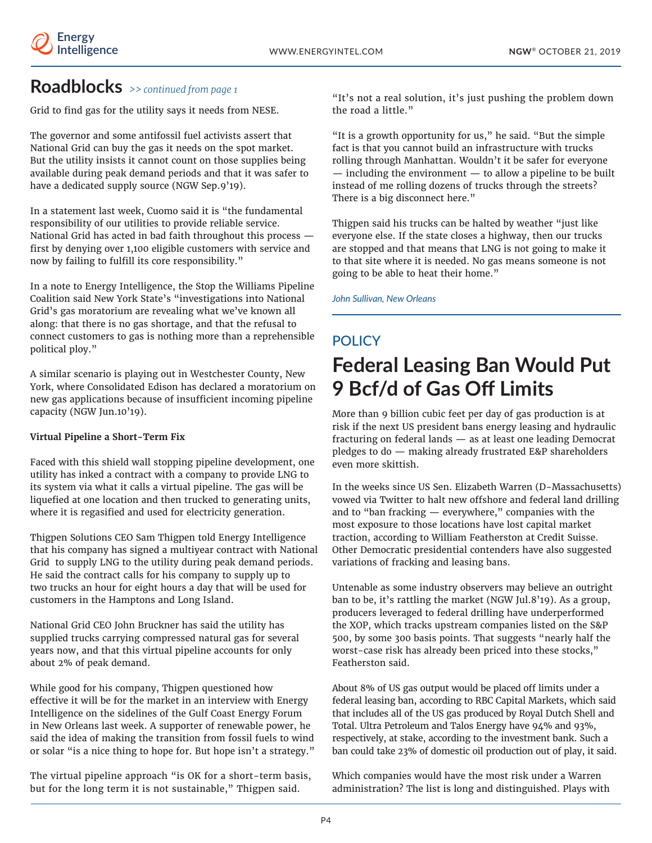### **Roadblocks** *>> continued from page 1*

Grid to find gas for the utility says it needs from NESE.

The governor and some antifossil fuel activists assert that National Grid can buy the gas it needs on the spot market. But the utility insists it cannot count on those supplies being available during peak demand periods and that it was safer to have a dedicated supply source (NGW Sep.9'19).

In a statement last week, Cuomo said it is "the fundamental responsibility of our utilities to provide reliable service. National Grid has acted in bad faith throughout this process first by denying over 1,100 eligible customers with service and now by failing to fulfill its core responsibility."

In a note to Energy Intelligence, the Stop the Williams Pipeline Coalition said New York State's "investigations into National Grid's gas moratorium are revealing what we've known all along: that there is no gas shortage, and that the refusal to connect customers to gas is nothing more than a reprehensible political ploy."

A similar scenario is playing out in Westchester County, New York, where Consolidated Edison has declared a moratorium on new gas applications because of insufficient incoming pipeline capacity (NGW Jun.10'19).

#### **Virtual Pipeline a Short-Term Fix**

Faced with this shield wall stopping pipeline development, one utility has inked a contract with a company to provide LNG to its system via what it calls a virtual pipeline. The gas will be liquefied at one location and then trucked to generating units, where it is regasified and used for electricity generation.

Thigpen Solutions CEO Sam Thigpen told Energy Intelligence that his company has signed a multiyear contract with National Grid to supply LNG to the utility during peak demand periods. He said the contract calls for his company to supply up to two trucks an hour for eight hours a day that will be used for customers in the Hamptons and Long Island.

National Grid CEO John Bruckner has said the utility has supplied trucks carrying compressed natural gas for several years now, and that this virtual pipeline accounts for only about 2% of peak demand.

While good for his company, Thigpen questioned how efective it will be for the market in an interview with Energy Intelligence on the sidelines of the Gulf Coast Energy Forum in New Orleans last week. A supporter of renewable power, he said the idea of making the transition from fossil fuels to wind or solar "is a nice thing to hope for. But hope isn't a strategy."

The virtual pipeline approach "is OK for a short-term basis, but for the long term it is not sustainable," Thigpen said.

"It's not a real solution, it's just pushing the problem down the road a little."

"It is a growth opportunity for us," he said. "But the simple fact is that you cannot build an infrastructure with trucks rolling through Manhattan. Wouldn't it be safer for everyone — including the environment — to allow a pipeline to be built instead of me rolling dozens of trucks through the streets? There is a big disconnect here."

Thigpen said his trucks can be halted by weather "just like everyone else. If the state closes a highway, then our trucks are stopped and that means that LNG is not going to make it to that site where it is needed. No gas means someone is not going to be able to heat their home."

*John Sullivan, New Orleans*

# **POLICY**

# **Federal Leasing Ban Would Put 9 Bcf/d of Gas Of Limits**

More than 9 billion cubic feet per day of gas production is at risk if the next US president bans energy leasing and hydraulic fracturing on federal lands — as at least one leading Democrat pledges to do — making already frustrated E&P shareholders even more skittish.

In the weeks since US Sen. Elizabeth Warren (D-Massachusetts) vowed via Twitter to halt new offshore and federal land drilling and to "ban fracking — everywhere," companies with the most exposure to those locations have lost capital market traction, according to William Featherston at Credit Suisse. Other Democratic presidential contenders have also suggested variations of fracking and leasing bans.

Untenable as some industry observers may believe an outright ban to be, it's rattling the market (NGW Jul.8'19). As a group, producers leveraged to federal drilling have underperformed the XOP, which tracks upstream companies listed on the S&P 500, by some 300 basis points. That suggests "nearly half the worst-case risk has already been priced into these stocks," Featherston said.

About 8% of US gas output would be placed off limits under a federal leasing ban, according to RBC Capital Markets, which said that includes all of the US gas produced by Royal Dutch Shell and Total. Ultra Petroleum and Talos Energy have 94% and 93%, respectively, at stake, according to the investment bank. Such a ban could take 23% of domestic oil production out of play, it said.

Which companies would have the most risk under a Warren administration? The list is long and distinguished. Plays with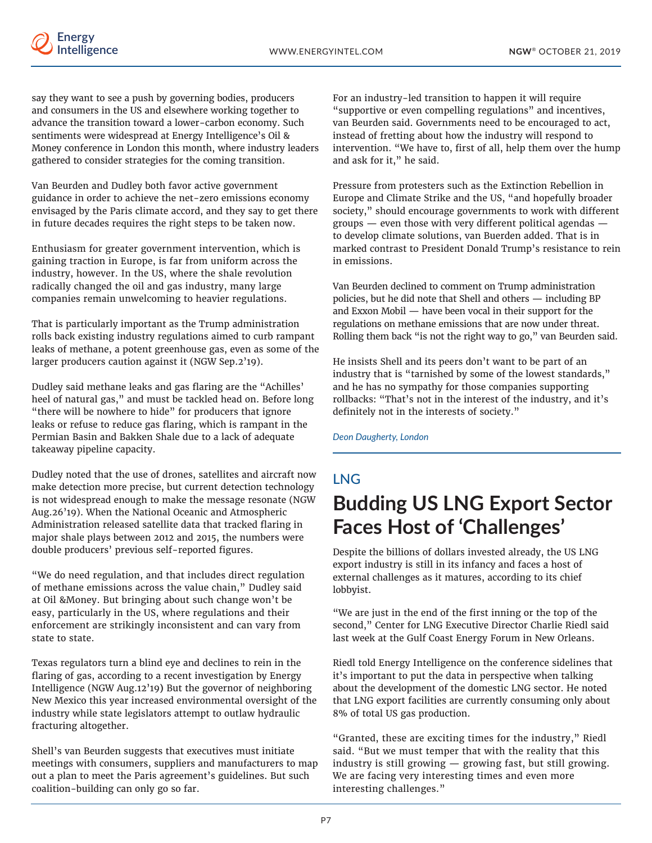

say they want to see a push by governing bodies, producers and consumers in the US and elsewhere working together to advance the transition toward a lower-carbon economy. Such sentiments were widespread at Energy Intelligence's Oil & Money conference in London this month, where industry leaders gathered to consider strategies for the coming transition.

Van Beurden and Dudley both favor active government guidance in order to achieve the net-zero emissions economy envisaged by the Paris climate accord, and they say to get there in future decades requires the right steps to be taken now.

Enthusiasm for greater government intervention, which is gaining traction in Europe, is far from uniform across the industry, however. In the US, where the shale revolution radically changed the oil and gas industry, many large companies remain unwelcoming to heavier regulations.

That is particularly important as the Trump administration rolls back existing industry regulations aimed to curb rampant leaks of methane, a potent greenhouse gas, even as some of the larger producers caution against it (NGW Sep.2'19).

Dudley said methane leaks and gas flaring are the "Achilles' heel of natural gas," and must be tackled head on. Before long "there will be nowhere to hide" for producers that ignore leaks or refuse to reduce gas flaring, which is rampant in the Permian Basin and Bakken Shale due to a lack of adequate takeaway pipeline capacity.

Dudley noted that the use of drones, satellites and aircraft now make detection more precise, but current detection technology is not widespread enough to make the message resonate (NGW Aug.26'19). When the National Oceanic and Atmospheric Administration released satellite data that tracked flaring in major shale plays between 2012 and 2015, the numbers were double producers' previous self-reported figures.

"We do need regulation, and that includes direct regulation of methane emissions across the value chain," Dudley said at Oil &Money. But bringing about such change won't be easy, particularly in the US, where regulations and their enforcement are strikingly inconsistent and can vary from state to state.

Texas regulators turn a blind eye and declines to rein in the faring of gas, according to a recent investigation by Energy Intelligence (NGW Aug.12'19**)** But the governor of neighboring New Mexico this year increased environmental oversight of the industry while state legislators attempt to outlaw hydraulic fracturing altogether.

Shell's van Beurden suggests that executives must initiate meetings with consumers, suppliers and manufacturers to map out a plan to meet the Paris agreement's guidelines. But such coalition-building can only go so far.

For an industry-led transition to happen it will require "supportive or even compelling regulations" and incentives, van Beurden said. Governments need to be encouraged to act, instead of fretting about how the industry will respond to intervention. "We have to, first of all, help them over the hump and ask for it," he said.

Pressure from protesters such as the Extinction Rebellion in Europe and Climate Strike and the US, "and hopefully broader society," should encourage governments to work with diferent groups — even those with very diferent political agendas to develop climate solutions, van Buerden added. That is in marked contrast to President Donald Trump's resistance to rein in emissions.

Van Beurden declined to comment on Trump administration policies, but he did note that Shell and others — including BP and Exxon Mobil — have been vocal in their support for the regulations on methane emissions that are now under threat. Rolling them back "is not the right way to go," van Beurden said.

He insists Shell and its peers don't want to be part of an industry that is "tarnished by some of the lowest standards," and he has no sympathy for those companies supporting rollbacks: "That's not in the interest of the industry, and it's definitely not in the interests of society."

*Deon Daugherty, London*

## LNG **Budding US LNG Export Sector Faces Host of 'Challenges'**

Despite the billions of dollars invested already, the US LNG export industry is still in its infancy and faces a host of external challenges as it matures, according to its chief lobbyist.

"We are just in the end of the first inning or the top of the second," Center for LNG Executive Director Charlie Riedl said last week at the Gulf Coast Energy Forum in New Orleans.

Riedl told Energy Intelligence on the conference sidelines that it's important to put the data in perspective when talking about the development of the domestic LNG sector. He noted that LNG export facilities are currently consuming only about 8% of total US gas production.

"Granted, these are exciting times for the industry," Riedl said. "But we must temper that with the reality that this industry is still growing — growing fast, but still growing. We are facing very interesting times and even more interesting challenges."